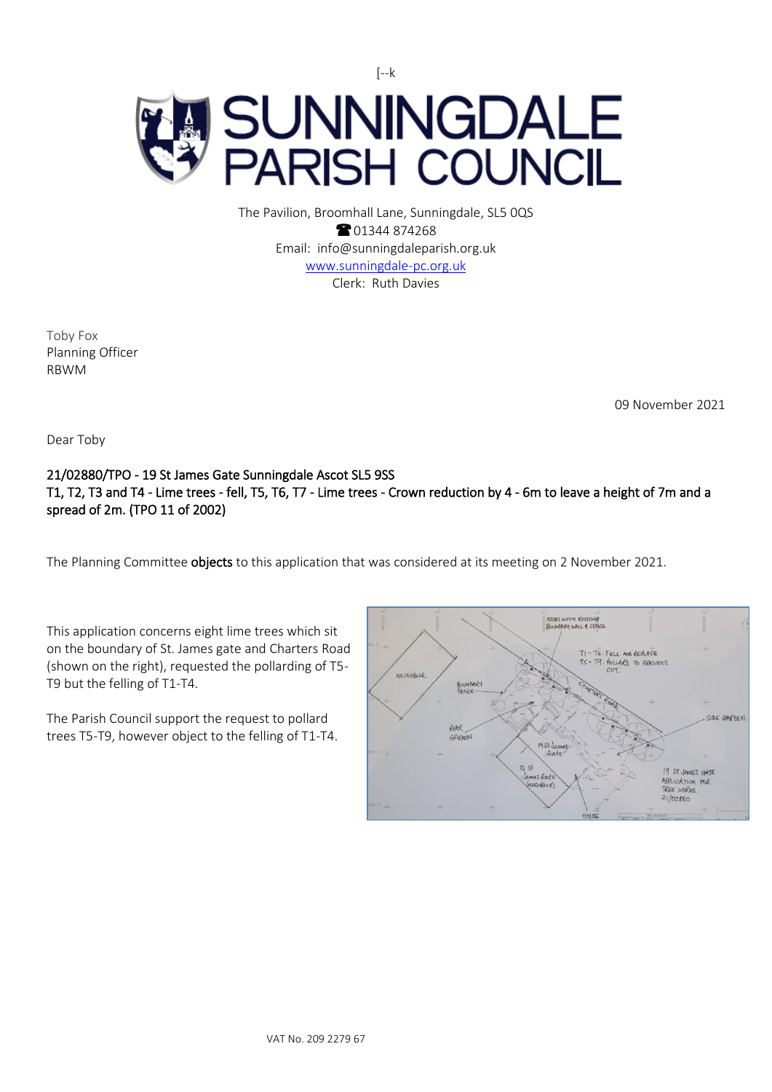

The Pavilion, Broomhall Lane, Sunningdale, SL5 0QS <sup>2</sup>01344 874268 Email: info@sunningdaleparish.org.uk [www.sunningdale-pc.org.uk](http://www.sunningdale-pc.org.uk/) Clerk: Ruth Davies

Toby Fox Planning Officer RBWM

09 November 2021

Dear Toby

## 21/02880/TPO - 19 St James Gate Sunningdale Ascot SL5 9SS T1, T2, T3 and T4 - Lime trees - fell, T5, T6, T7 - Lime trees - Crown reduction by 4 - 6m to leave a height of 7m and a spread of 2m. (TPO 11 of 2002)

The Planning Committee **objects** to this application that was considered at its meeting on 2 November 2021.

This application concerns eight lime trees which sit on the boundary of St. James gate and Charters Road (shown on the right), requested the pollarding of T5- T9 but the felling of T1-T4.

The Parish Council support the request to pollard trees T5-T9, however object to the felling of T1-T4.

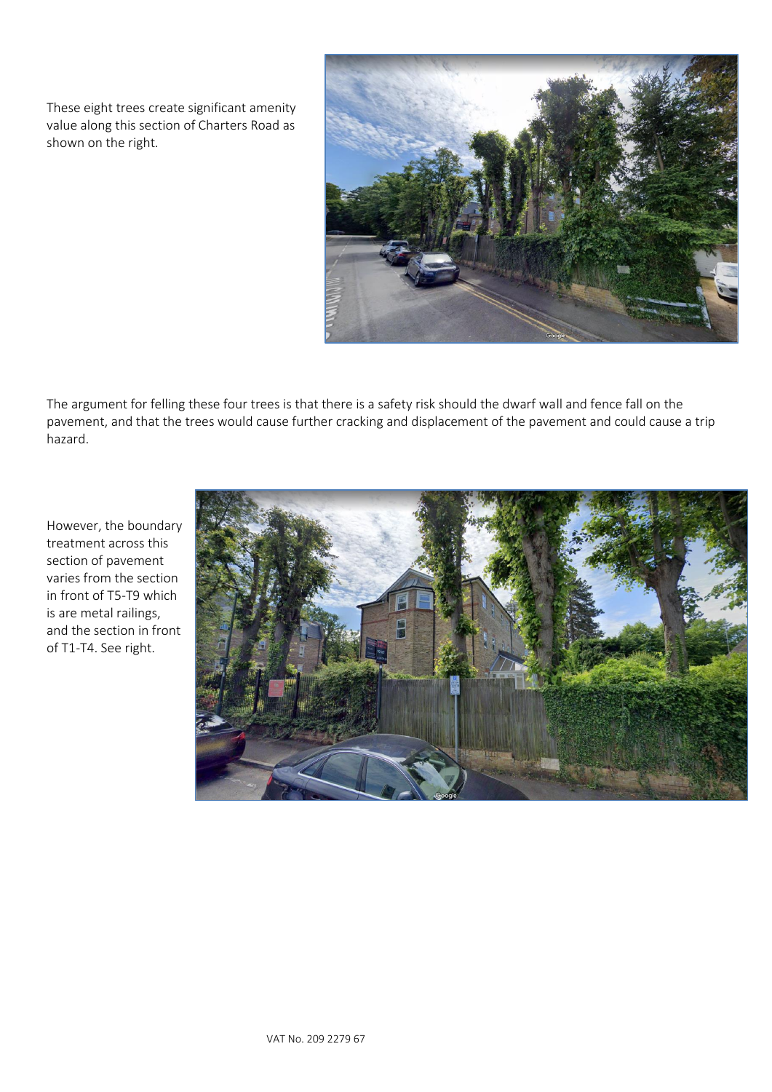These eight trees create significant amenity value along this section of Charters Road as shown on the right.



The argument for felling these four trees is that there is a safety risk should the dwarf wall and fence fall on the pavement, and that the trees would cause further cracking and displacement of the pavement and could cause a trip hazard.

However, the boundary treatment across this section of pavement varies from the section in front of T5-T9 which is are metal railings, and the section in front of T1-T4. See right.